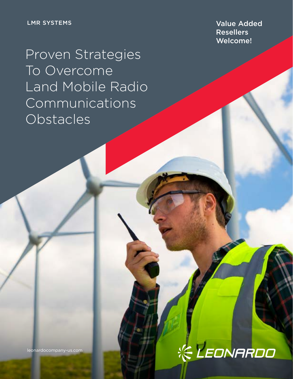Resellers Welcome!

Proven Strategies To Overcome Land Mobile Radio Communications **Obstacles** 

leonardocompany-us.com

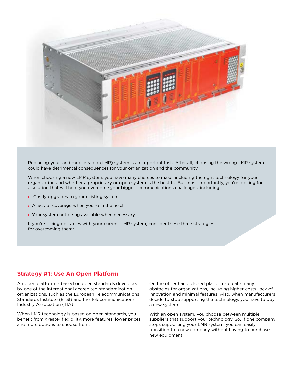

Replacing your land mobile radio (LMR) system is an important task. After all, choosing the wrong LMR system could have detrimental consequences for your organization and the community.

When choosing a new LMR system, you have many choices to make, including the right technology for your organization and whether a proprietary or open system is the best fit. But most importantly, you're looking for a solution that will help you overcome your biggest communications challenges, including:

- **›** Costly upgrades to your existing system
- **›** A lack of coverage when you're in the field
- **›** Your system not being available when necessary

If you're facing obstacles with your current LMR system, consider these three strategies for overcoming them:

## **Strategy #1: Use An Open Platform**

An open platform is based on open standards developed by one of the international accredited standardization organizations, such as the European Telecommunications Standards Institute (ETSI) and the Telecommunications Industry Association (TIA).

When LMR technology is based on open standards, you benefit from greater flexibility, more features, lower prices and more options to choose from.

On the other hand, closed platforms create many obstacles for organizations, including higher costs, lack of innovation and minimal features. Also, when manufacturers decide to stop supporting the technology, you have to buy a new system.

With an open system, you choose between multiple suppliers that support your technology. So, if one company stops supporting your LMR system, you can easily transition to a new company without having to purchase new equipment.